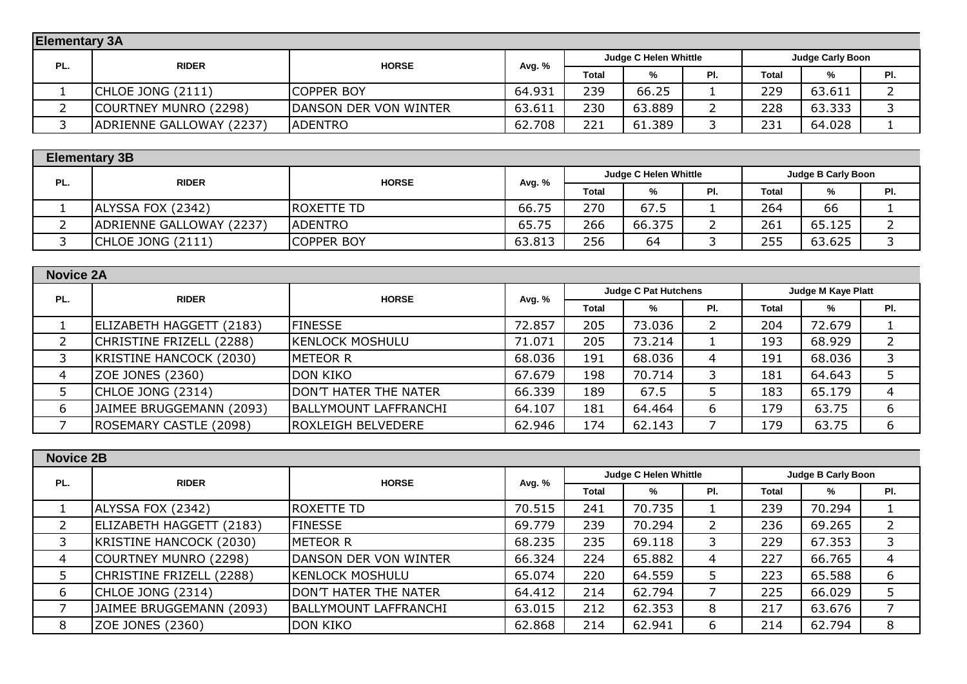|     | <b>Elementary 3A</b>     |                               |        |       |                              |     |                         |        |     |  |  |
|-----|--------------------------|-------------------------------|--------|-------|------------------------------|-----|-------------------------|--------|-----|--|--|
| PL. | <b>RIDER</b>             | <b>HORSE</b>                  | Avg. % |       | <b>Judge C Helen Whittle</b> |     | <b>Judge Carly Boon</b> |        |     |  |  |
|     |                          |                               |        | Total | %                            | PI. | Total                   | %      | PI. |  |  |
|     | <b>CHLOE JONG (2111)</b> | <b>COPPER BOY</b>             | 64.931 | 239   | 66.25                        |     | 229                     | 63.611 |     |  |  |
|     | COURTNEY MUNRO (2298)    | <b>IDANSON DER VON WINTER</b> | 63.611 | 230   | 63.889                       |     | 228                     | 63.333 |     |  |  |
|     | ADRIENNE GALLOWAY (2237) | <b>IADENTRO</b>               | 62.708 | 221   | 61.389                       |     | 231                     | 64.028 |     |  |  |

| <b>Elementary 3B</b> |                          |                   |        |                                                           |        |     |              |        |     |
|----------------------|--------------------------|-------------------|--------|-----------------------------------------------------------|--------|-----|--------------|--------|-----|
| PL.                  | <b>RIDER</b>             | <b>HORSE</b>      | Avg. % | <b>Judge B Carly Boon</b><br><b>Judge C Helen Whittle</b> |        |     |              |        |     |
|                      |                          |                   |        | <b>Total</b>                                              | %      | PI. | <b>Total</b> | %      | PI. |
|                      | ALYSSA FOX (2342)        | ROXETTE TD        | 66.75  | 270                                                       | 67.5   |     | 264          | 66     |     |
|                      | ADRIENNE GALLOWAY (2237) | <b>IADENTRO</b>   | 65.75  | 266                                                       | 66.375 |     | 261          | 65.125 |     |
|                      | <b>CHLOE JONG (2111)</b> | <b>COPPER BOY</b> | 63.813 | 256                                                       | 64     |     | 255          | 63.625 |     |

| <b>Novice 2A</b> |                          |                              |        |              |                             |     |                    |        |                |  |
|------------------|--------------------------|------------------------------|--------|--------------|-----------------------------|-----|--------------------|--------|----------------|--|
| PL.              | <b>RIDER</b>             | <b>HORSE</b>                 | Avg. % |              | <b>Judge C Pat Hutchens</b> |     | Judge M Kaye Platt |        |                |  |
|                  |                          |                              |        | <b>Total</b> | %                           | PI. | Total              | %      | PI.            |  |
|                  | ELIZABETH HAGGETT (2183) | <b>FINESSE</b>               | 72.857 | 205          | 73.036                      |     | 204                | 72.679 |                |  |
|                  | CHRISTINE FRIZELL (2288) | KENLOCK MOSHULU              | 71.071 | 205          | 73.214                      |     | 193                | 68.929 | $\overline{2}$ |  |
|                  | KRISTINE HANCOCK (2030)  | METEOR R                     | 68.036 | 191          | 68.036                      |     | 191                | 68.036 | 3              |  |
| 4                | ZOE JONES (2360)         | <b>DON KIKO</b>              | 67.679 | 198          | 70.714                      |     | 181                | 64.643 |                |  |
|                  | CHLOE JONG (2314)        | <b>DON'T HATER THE NATER</b> | 66.339 | 189          | 67.5                        |     | 183                | 65.179 | 4              |  |
| 6                | JAIMEE BRUGGEMANN (2093) | <b>BALLYMOUNT LAFFRANCHI</b> | 64.107 | 181          | 64.464                      |     | 179                | 63.75  | 6              |  |
|                  | ROSEMARY CASTLE (2098)   | <b>IROXLEIGH BELVEDERE</b>   | 62.946 | 174          | 62.143                      |     | 179                | 63.75  | 6              |  |

| <b>Novice 2B</b> |                          |                              |        |              |                              |     |                    |        |                |  |
|------------------|--------------------------|------------------------------|--------|--------------|------------------------------|-----|--------------------|--------|----------------|--|
| PL.              | <b>RIDER</b>             | <b>HORSE</b>                 | Avg. % |              | <b>Judge C Helen Whittle</b> |     | Judge B Carly Boon |        |                |  |
|                  |                          |                              |        | <b>Total</b> | %                            | PI. | <b>Total</b>       | %      | PI.            |  |
|                  | ALYSSA FOX (2342)        | ROXETTE TD                   | 70.515 | 241          | 70.735                       |     | 239                | 70.294 |                |  |
|                  | ELIZABETH HAGGETT (2183) | <b>FINESSE</b>               | 69.779 | 239          | 70.294                       |     | 236                | 69.265 | $\overline{2}$ |  |
|                  | KRISTINE HANCOCK (2030)  | <b>METEOR R</b>              | 68.235 | 235          | 69.118                       |     | 229                | 67.353 | 3              |  |
| 4                | COURTNEY MUNRO (2298)    | DANSON DER VON WINTER        | 66.324 | 224          | 65.882                       | 4   | 227                | 66.765 | 4              |  |
|                  | CHRISTINE FRIZELL (2288) | KENLOCK MOSHULU              | 65.074 | 220          | 64.559                       | 5   | 223                | 65.588 | 6              |  |
| 6                | CHLOE JONG (2314)        | DON'T HATER THE NATER        | 64.412 | 214          | 62.794                       |     | 225                | 66.029 | 5              |  |
|                  | JAIMEE BRUGGEMANN (2093) | <b>BALLYMOUNT LAFFRANCHI</b> | 63.015 | 212          | 62.353                       | 8   | 217                | 63.676 |                |  |
| 8                | ZOE JONES (2360)         | <b>DON KIKO</b>              | 62.868 | 214          | 62.941                       | 6   | 214                | 62.794 | 8              |  |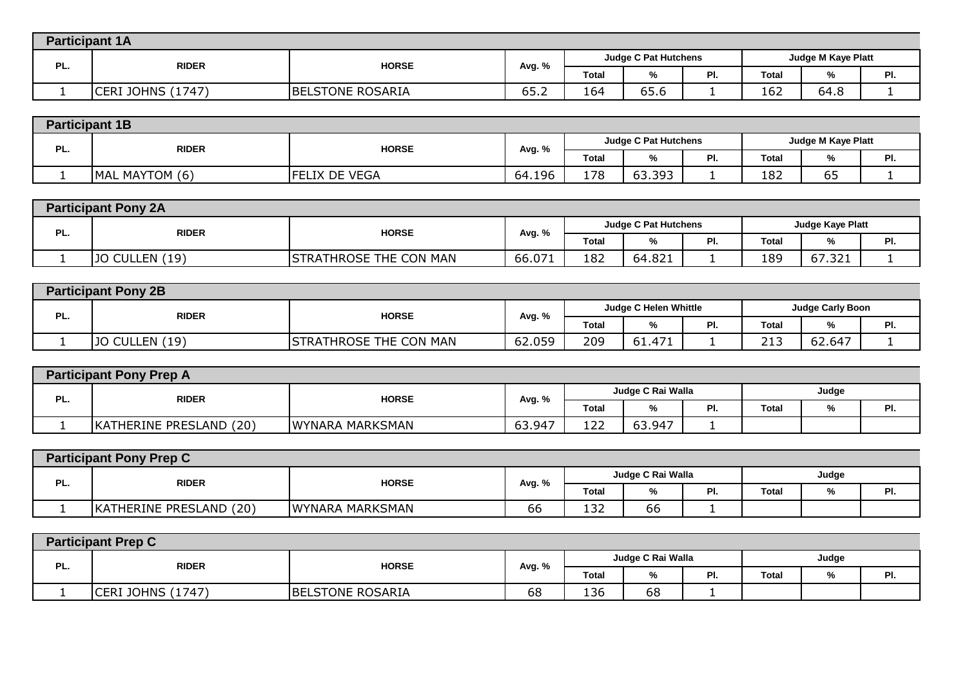|     | <b>Participant 1A</b>        |                         |               |                             |      |                    |              |      |          |  |  |  |
|-----|------------------------------|-------------------------|---------------|-----------------------------|------|--------------------|--------------|------|----------|--|--|--|
|     | <b>HORSE</b><br><b>RIDER</b> |                         |               | <b>Judge C Pat Hutchens</b> |      | Judge M Kaye Platt |              |      |          |  |  |  |
| PL. |                              |                         | Avg. %        | <b>Total</b>                | %    | D<br>≂.            | <b>Total</b> |      | DI.<br>. |  |  |  |
|     | (1747)<br>. JOHNS<br>ICERI   | <b>BELSTONE ROSARIA</b> | $  -$<br>65.Z | 164                         | 65.6 |                    | 162          | 64.8 |          |  |  |  |

|     | <b>Participant 1B</b>        |                   |        |                             |                    |           |                    |          |            |  |  |
|-----|------------------------------|-------------------|--------|-----------------------------|--------------------|-----------|--------------------|----------|------------|--|--|
| PL. | <b>HORSE</b><br><b>RIDER</b> |                   |        | <b>Judge C Pat Hutchens</b> |                    |           | Judge M Kaye Platt |          |            |  |  |
|     |                              |                   | Avg. % | <b>Total</b>                | $\mathbf{a}$<br>7٥ | ים<br>гı. | Total              | 7ο       | DI.<br>гι. |  |  |
|     | MAL MAYTOM (6)               | IX DE VEGA<br>FFI | 64.196 | 178                         | 63.393             |           | 182                | --<br>כס |            |  |  |

|     | <b>Participant Pony 2A</b>   |                               |        |              |                             |     |                         |        |     |  |  |  |
|-----|------------------------------|-------------------------------|--------|--------------|-----------------------------|-----|-------------------------|--------|-----|--|--|--|
| PL. | <b>HORSE</b><br><b>RIDER</b> |                               | Avg. % |              | <b>Judge C Pat Hutchens</b> |     | <b>Judge Kaye Platt</b> |        |     |  |  |  |
|     |                              |                               |        | <b>Total</b> | %                           | PI. | <b>Total</b>            |        | PI. |  |  |  |
|     | CULLEN (19)<br>סני           | <b>STRATHROSE THE CON MAN</b> | 66.07' | 182          | 64.821                      |     | 189                     | 67.321 | -   |  |  |  |

|     | <b>Participant Pony 2B</b> |                               |        |              |                              |           |                               |        |           |  |  |
|-----|----------------------------|-------------------------------|--------|--------------|------------------------------|-----------|-------------------------------|--------|-----------|--|--|
| PL. | <b>RIDER</b>               | <b>HORSE</b>                  |        |              | <b>Judge C Helen Whittle</b> |           | <b>Judge Carly Boon</b>       |        |           |  |  |
|     |                            |                               | Avg. % | <b>Total</b> | %                            | ום<br>гı. | Total                         | %      | ים<br>rı. |  |  |
|     | $JO$ CULLEN $(19)$         | <b>STRATHROSE THE CON MAN</b> | 62.059 | 209          | 61.471                       |           | $\sim$ $\sim$<br><u>_ _ _</u> | 62.647 |           |  |  |

|     | <b>Participant Pony Prep A</b> |                 |        |              |                   |    |              |  |     |  |  |  |
|-----|--------------------------------|-----------------|--------|--------------|-------------------|----|--------------|--|-----|--|--|--|
| PL. | <b>RIDER</b>                   | <b>HORSE</b>    |        |              | Judge C Rai Walla |    | Judge        |  |     |  |  |  |
|     |                                |                 | Avg. % | <b>Total</b> | %                 | ٠. | <b>Total</b> |  | PI. |  |  |  |
|     | KATHERINE PRESLAND (20)        | WYNARA MARKSMAN | 63.947 | 122          | 63.947            |    |              |  |     |  |  |  |

| <b>Participant Pony Prep C</b> |                              |                 |              |                   |    |     |              |   |     |  |
|--------------------------------|------------------------------|-----------------|--------------|-------------------|----|-----|--------------|---|-----|--|
| PL.                            | <b>HORSE</b><br><b>RIDER</b> |                 | Avg. %       | Judge C Rai Walla |    |     | Judge        |   |     |  |
|                                |                              |                 |              | Total             | %  | PI. | <b>Total</b> | % | PI. |  |
|                                | KATHERINE PRESLAND (20)      | WYNARA MARKSMAN | $\sim$<br>bb | 132               | 66 |     |              |   |     |  |

|     | <b>Participant Prep C</b> |                         |        |              |                   |     |       |       |     |  |  |  |
|-----|---------------------------|-------------------------|--------|--------------|-------------------|-----|-------|-------|-----|--|--|--|
| PL. |                           | <b>HORSE</b>            |        |              | Judge C Rai Walla |     |       | Judge |     |  |  |  |
|     | <b>RIDER</b>              |                         | Avg. % | <b>Total</b> | %                 | PI. | Total | "⁄o   | PI. |  |  |  |
|     | <b>CERI JOHNS (1747)</b>  | <b>BELSTONE ROSARIA</b> | 68     | 136          | 68                |     |       |       |     |  |  |  |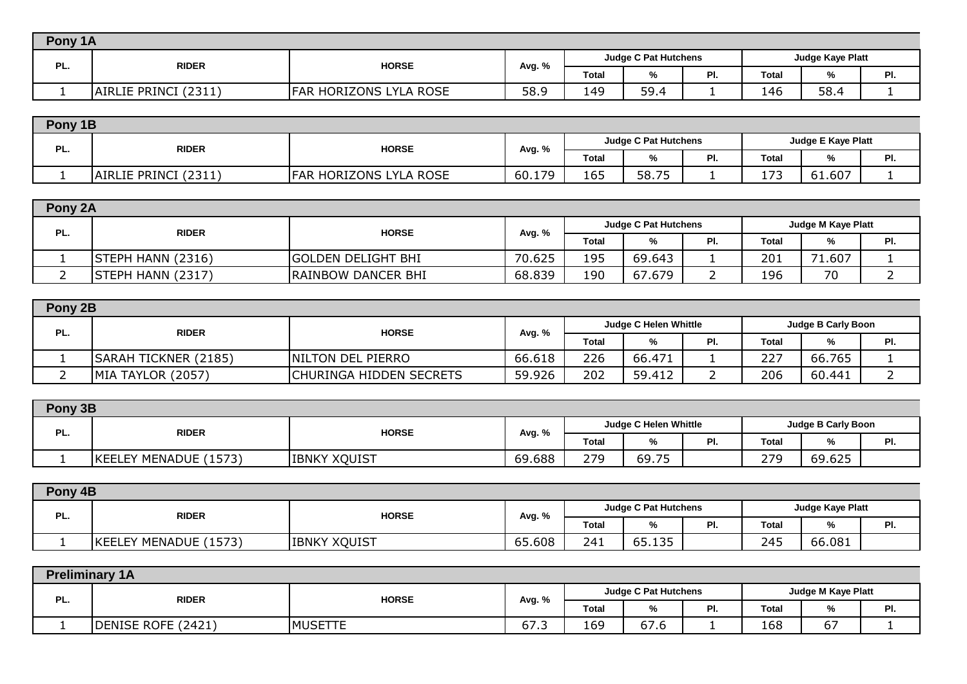|     | Pony 1A                 |                               |        |              |                             |          |                         |      |   |  |  |
|-----|-------------------------|-------------------------------|--------|--------------|-----------------------------|----------|-------------------------|------|---|--|--|
| PL. | <b>RIDER</b>            | <b>HORSE</b>                  |        |              | <b>Judge C Pat Hutchens</b> |          | <b>Judge Kaye Platt</b> |      |   |  |  |
|     |                         |                               | Avg. % | <b>Total</b> | "∕o                         | D<br>. . | Total                   | %    | . |  |  |
|     | (2311)<br>AIRLIE PRINCI | <b>FAR HORIZONS LYLA ROSE</b> | 58.9   | 149          | 59.4                        |          | 146                     | 58.4 |   |  |  |

|                                     | Pony 1B                 |                               |        |                             |       |           |                                  |                           |           |  |  |
|-------------------------------------|-------------------------|-------------------------------|--------|-----------------------------|-------|-----------|----------------------------------|---------------------------|-----------|--|--|
| PL.<br><b>HORSE</b><br><b>RIDER</b> |                         |                               |        | <b>Judge C Pat Hutchens</b> |       |           |                                  | <b>Judge E Kaye Platt</b> |           |  |  |
|                                     |                         |                               | Avg. % | <b>Total</b>                | 7٥    | D.<br>гı. | Total                            |                           | D.<br>гı. |  |  |
|                                     | (2311)<br>AIRLIE PRINCI | <b>FAR HORIZONS LYLA ROSE</b> | 60.179 | 165                         | 58.75 |           | $\overline{\phantom{a}}$<br>17 J | 61.607                    |           |  |  |

| Pony 2A  |                   |                           |        |              |                             |     |              |                    |     |
|----------|-------------------|---------------------------|--------|--------------|-----------------------------|-----|--------------|--------------------|-----|
|          | <b>RIDER</b>      | <b>HORSE</b>              | Avg. % |              | <b>Judge C Pat Hutchens</b> |     |              | Judge M Kaye Platt |     |
| PL.      |                   |                           |        | <b>Total</b> | %                           | PI. | <b>Total</b> | %                  | PI. |
|          | STEPH HANN (2316) | <b>GOLDEN DELIGHT BHI</b> | 70.625 | 195          | 69.643                      |     | 201          | 1.607              |     |
| <u>.</u> | STEPH HANN (2317) | <b>RAINBOW DANCER BHI</b> | 68.839 | 190          | 67.679                      |     | 196          | 70                 |     |

| Pony 2B |                             |                          |        |       |                              |    |       |                    |     |
|---------|-----------------------------|--------------------------|--------|-------|------------------------------|----|-------|--------------------|-----|
| PL.     | <b>RIDER</b>                | <b>HORSE</b>             | Avg. % |       | <b>Judge C Helen Whittle</b> |    |       | Judge B Carly Boon |     |
|         |                             |                          |        | Total | %                            | ים | Total | %                  | PI. |
|         | <b>SARAH TICKNER (2185)</b> | <b>NILTON DEL PIERRO</b> | 66.618 | 226   | 66.471                       |    | 227   | 66.765             |     |
|         | MIA TAYLOR (2057)           | CHURINGA HIDDEN SECRETS  | 59.926 | 202   | 59.412                       |    | 206   | 60.441             |     |

|     | Pony 3B               |                              |        |                       |       |                           |              |        |     |
|-----|-----------------------|------------------------------|--------|-----------------------|-------|---------------------------|--------------|--------|-----|
| PL. |                       | <b>RIDER</b><br><b>HORSE</b> | Avg. % | Judge C Helen Whittle |       | <b>Judge B Carly Boon</b> |              |        |     |
|     |                       |                              |        | <b>Total</b>          | %     | -۱.                       | <b>Total</b> | %      | PI. |
|     | KEELEY MENADUE (1573) | <b>IBNKY XQUIST</b>          | 69.688 | 279                   | 69.75 |                           | 279          | 69.625 |     |
|     |                       |                              |        |                       |       |                           |              |        |     |

| Pony 4B                             |                     |        |                             |                         |     |              |        |     |  |  |
|-------------------------------------|---------------------|--------|-----------------------------|-------------------------|-----|--------------|--------|-----|--|--|
| PL.<br><b>RIDER</b><br><b>HORSE</b> |                     |        | <b>Judge C Pat Hutchens</b> | <b>Judge Kaye Platt</b> |     |              |        |     |  |  |
|                                     |                     | Avg. % | Total                       | %                       | . . | <b>Total</b> | 7٥     | PI. |  |  |
| KEELEY MENADUE (1573)               | <b>IBNKY XOUIST</b> | 65.608 | 241                         | 135<br>--<br><u></u>    |     | 245          | 66.081 |     |  |  |

|     | <b>Preliminary 1A</b> |                |                                                                     |       |                             |     |                           |    |     |  |  |  |
|-----|-----------------------|----------------|---------------------------------------------------------------------|-------|-----------------------------|-----|---------------------------|----|-----|--|--|--|
| PL. | <b>RIDER</b>          | <b>HORSE</b>   | Avg. %                                                              |       | <b>Judge C Pat Hutchens</b> |     | <b>Judge M Kaye Platt</b> |    |     |  |  |  |
|     |                       |                |                                                                     | Total | %                           | ٠., | <b>Total</b>              | 7٥ | PI. |  |  |  |
|     | DENISE ROFE (2421)    | <b>MUSETTE</b> | $\overline{\phantom{a}}$<br>$\overline{\phantom{a}}$<br>ь<br>د. ، ں | 169   | $\sim$ $\sim$<br>67.6       |     | 168                       | υ. |     |  |  |  |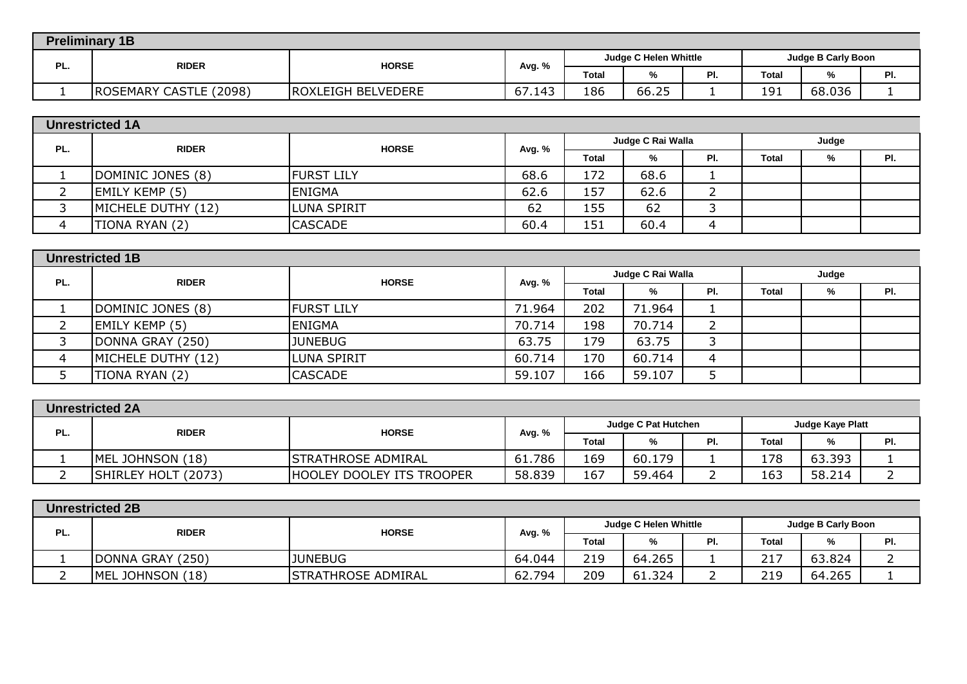| <b>Preliminary 1B</b>               |                           |        |              |                              |           |                           |        |     |  |  |
|-------------------------------------|---------------------------|--------|--------------|------------------------------|-----------|---------------------------|--------|-----|--|--|
| PL.<br><b>HORSE</b><br><b>RIDER</b> |                           |        |              | <b>Judge C Helen Whittle</b> |           | <b>Judge B Carly Boon</b> |        |     |  |  |
|                                     |                           | Avg. % | <b>Total</b> | %                            | D.<br>τı. | <b>Total</b>              | ∕′0    | PI. |  |  |
| CASTLE (2098)<br><b>ROSEMARY</b>    | <b>ROXLEIGH BELVEDERE</b> | 67.143 | 186          | 66.25                        |           | 191                       | 68.036 |     |  |  |

|     | <b>Unrestricted 1A</b> |                   |        |              |                   |          |              |   |     |  |
|-----|------------------------|-------------------|--------|--------------|-------------------|----------|--------------|---|-----|--|
| PL. | <b>RIDER</b>           | <b>HORSE</b>      | Avg. % |              | Judge C Rai Walla |          | Judge        |   |     |  |
|     |                        |                   |        | <b>Total</b> | %                 | PI.      | <b>Total</b> | % | PI. |  |
|     | DOMINIC JONES (8)      | <b>FURST LILY</b> | 68.6   | 172          | 68.6              |          |              |   |     |  |
|     | <b>EMILY KEMP (5)</b>  | <b>ENIGMA</b>     | 62.6   | 157          | 62.6              | <u>_</u> |              |   |     |  |
|     | MICHELE DUTHY (12)     | LUNA SPIRIT       | 62     | 155          | 62                |          |              |   |     |  |
|     | TIONA RYAN (2)         | <b>CASCADE</b>    | 60.4   | 151          | 60.4              | 4        |              |   |     |  |

| PL. | <b>RIDER</b>       | <b>HORSE</b>       |        | Judge C Rai Walla |        |     | Judge |   |     |
|-----|--------------------|--------------------|--------|-------------------|--------|-----|-------|---|-----|
|     |                    |                    | Avg. % | Total             | %      | PI. | Total | % | PI. |
|     | DOMINIC JONES (8)  | <b>FURST LILY</b>  | 71.964 | 202               | 71.964 | л.  |       |   |     |
|     | EMILY KEMP (5)     | <b>ENIGMA</b>      | 70.714 | 198               | 70.714 |     |       |   |     |
|     | DONNA GRAY (250)   | <b>JUNEBUG</b>     | 63.75  | 179               | 63.75  | 3   |       |   |     |
|     | MICHELE DUTHY (12) | <b>LUNA SPIRIT</b> | 60.714 | 170               | 60.714 | 4   |       |   |     |
|     | TIONA RYAN (2)     | <b>CASCADE</b>     | 59.107 | 166               | 59.107 | 5   |       |   |     |

|     | <b>Unrestricted 2A</b>        |                            |        |              |                            |     |                         |        |     |  |
|-----|-------------------------------|----------------------------|--------|--------------|----------------------------|-----|-------------------------|--------|-----|--|
| PL. | <b>RIDER</b>                  | <b>HORSE</b>               | Avg. % |              | <b>Judge C Pat Hutchen</b> |     | <b>Judge Kaye Platt</b> |        |     |  |
|     |                               |                            |        | <b>Total</b> | %                          | PI. | <b>Total</b>            | %      | PI. |  |
|     | MEL JOHNSON (18)              | <b>ISTRATHROSE ADMIRAL</b> | 61.786 | 169          | 60.179                     |     | 178                     | 63.393 |     |  |
|     | <b>SHIRLEY HOLT</b><br>(2073) | IHOOLEY DOOLEY ITS TROOPER | 58.839 | 167          | 59.464                     |     | 163                     | 58.214 |     |  |
|     |                               |                            |        |              |                            |     |                         |        |     |  |

|     | <b>Unrestricted 2B</b> |                              |        |                                                    |        |     |       |        |     |  |
|-----|------------------------|------------------------------|--------|----------------------------------------------------|--------|-----|-------|--------|-----|--|
|     |                        | <b>HORSE</b><br><b>RIDER</b> | Avg. % | <b>Judge C Helen Whittle</b><br>Judge B Carly Boon |        |     |       |        |     |  |
| PL. |                        |                              |        | <b>Total</b>                                       | %      | PI. | Total | %      | PI. |  |
|     | DONNA GRAY (250)       | <b>JUNEBUG</b>               | 64.044 | 219                                                | 64.265 |     | 217   | 63.824 |     |  |
|     | MEL JOHNSON (18)       | <b>STRATHROSE ADMIRAL</b>    | 62.794 | 209                                                | 61.324 |     | 219   | 64.265 |     |  |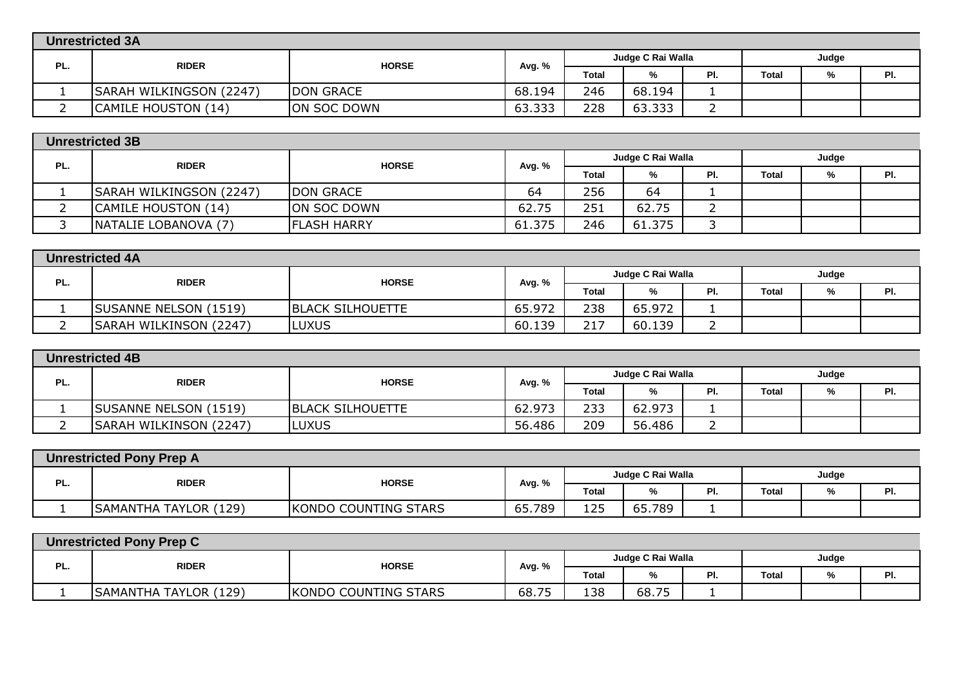|     | <b>Unrestricted 3A</b>  |                  |        |                            |        |     |              |   |     |  |
|-----|-------------------------|------------------|--------|----------------------------|--------|-----|--------------|---|-----|--|
| PL. | <b>RIDER</b>            | <b>HORSE</b>     | Avg. % | Judge C Rai Walla<br>Judge |        |     |              |   |     |  |
|     |                         |                  |        | <b>Total</b>               | %      | PI. | <b>Total</b> | % | PI. |  |
|     | SARAH WILKINGSON (2247) | <b>DON GRACE</b> | 68.194 | 246                        | 68.194 |     |              |   |     |  |
|     | CAMILE HOUSTON (14)     | ON SOC DOWN      | 63.333 | 228                        | 63.333 |     |              |   |     |  |

|     | <b>Unrestricted 3B</b>  |                    |                             |       |        |       |              |   |     |  |
|-----|-------------------------|--------------------|-----------------------------|-------|--------|-------|--------------|---|-----|--|
| PL. | <b>RIDER</b>            | <b>HORSE</b>       | Judge C Rai Walla<br>Avg. % |       |        | Judge |              |   |     |  |
|     |                         |                    |                             | Total | %      | PI.   | <b>Total</b> | % | PI. |  |
|     | SARAH WILKINGSON (2247) | <b>DON GRACE</b>   | 64                          | 256   | 64     |       |              |   |     |  |
|     | CAMILE HOUSTON (14)     | ON SOC DOWN        | 62.75                       | 251   | 62.75  |       |              |   |     |  |
|     | NATALIE LOBANOVA (7)    | <b>FLASH HARRY</b> | 61.375                      | 246   | 61.375 |       |              |   |     |  |

|     | <b>Unrestricted 4A</b>       |                         |        |                   |        |       |              |   |     |  |
|-----|------------------------------|-------------------------|--------|-------------------|--------|-------|--------------|---|-----|--|
| PL. | <b>RIDER</b><br><b>HORSE</b> | Avg. %                  |        | Judge C Rai Walla |        | Judge |              |   |     |  |
|     |                              |                         |        | <b>Total</b>      | %      | 미.    | <b>Total</b> | % | PI. |  |
|     | SUSANNE NELSON (1519)        | <b>BLACK SILHOUETTE</b> | 65.972 | 238               | 65.972 |       |              |   |     |  |
|     | SARAH WILKINSON (2247)       | <b>LUXUS</b>            | 60.139 | 717<br>ᅀ          | 60.139 |       |              |   |     |  |

| <b>Unrestricted 4B</b> |                              |                         |                            |       |        |    |              |   |     |  |
|------------------------|------------------------------|-------------------------|----------------------------|-------|--------|----|--------------|---|-----|--|
| PL.                    | <b>HORSE</b><br><b>RIDER</b> | Avg. %                  | Judge C Rai Walla<br>Judge |       |        |    |              |   |     |  |
|                        |                              |                         |                            | Total | %      | PL | <b>Total</b> | % | PI. |  |
|                        | <b>SUSANNE NELSON (1519)</b> | <b>BLACK SILHOUETTE</b> | 62.973                     | 233   | 62.973 |    |              |   |     |  |
|                        | SARAH WILKINSON (2247)       | <b>LUXUS</b>            | 56.486                     | 209   | 56.486 |    |              |   |     |  |

| <b>Unrestricted Pony Prep A</b> |                              |                      |                   |              |        |     |       |       |     |  |  |
|---------------------------------|------------------------------|----------------------|-------------------|--------------|--------|-----|-------|-------|-----|--|--|
| PL.                             | <b>RIDER</b><br><b>HORSE</b> | Avg. %               | Judge C Rai Walla |              |        |     |       | Judge |     |  |  |
|                                 |                              |                      |                   | <b>Total</b> | %      | PI. | Total | %     | PI. |  |  |
|                                 | SAMANTHA TAYLOR (129)        | KONDO COUNTING STARS | 65.789            | 125          | 65.789 |     |       |       |     |  |  |

| <b>Unrestricted Pony Prep C</b> |                       |                      |        |                   |       |     |              |   |     |  |
|---------------------------------|-----------------------|----------------------|--------|-------------------|-------|-----|--------------|---|-----|--|
| PL.                             | <b>RIDER</b>          | <b>HORSE</b>         | Avg. % | Judge C Rai Walla |       |     | Judge        |   |     |  |
|                                 |                       |                      |        | Total             | %     | PI. | <b>Total</b> | % | PI. |  |
|                                 | SAMANTHA TAYLOR (129) | KONDO COUNTING STARS | 68.75  | 138               | 68.75 |     |              |   |     |  |